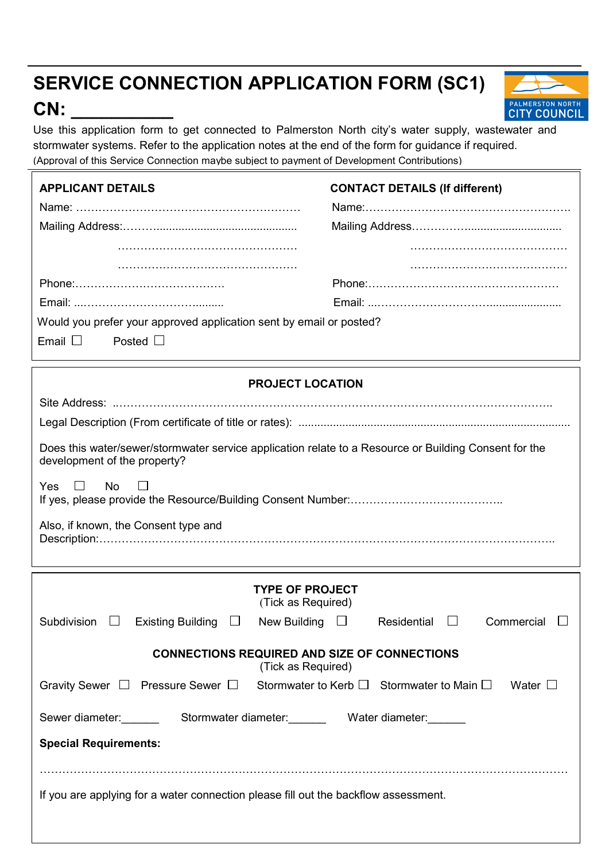# SERVICE CONNECTION APPLICATION FORM (SC1)

## CN:



Use this application form to get connected to Palmerston North city's water supply, wastewater and stormwater systems. Refer to the application notes at the end of the form for guidance if required. (Approval of this Service Connection maybe subject to payment of Development Contributions)

| <b>APPLICANT DETAILS</b>                                                                                                                                                                                     | <b>CONTACT DETAILS (If different)</b>     |  |  |  |  |
|--------------------------------------------------------------------------------------------------------------------------------------------------------------------------------------------------------------|-------------------------------------------|--|--|--|--|
| Would you prefer your approved application sent by email or posted?<br>Email $\Box$<br>Posted $\Box$                                                                                                         |                                           |  |  |  |  |
| <b>PROJECT LOCATION</b>                                                                                                                                                                                      |                                           |  |  |  |  |
| Does this water/sewer/stormwater service application relate to a Resource or Building Consent for the<br>development of the property?<br>Yes<br>$\perp$<br><b>No</b><br>Also, if known, the Consent type and |                                           |  |  |  |  |
|                                                                                                                                                                                                              |                                           |  |  |  |  |
| <b>TYPE OF PROJECT</b><br>(Tick as Required)                                                                                                                                                                 |                                           |  |  |  |  |
| Subdivision<br><b>Existing Building</b><br>New Building $\Box$<br>$\Box$<br>ப                                                                                                                                | Commercial<br>Residential<br>$\mathbf{L}$ |  |  |  |  |
| <b>CONNECTIONS REQUIRED AND SIZE OF CONNECTIONS</b><br>(Tick as Required)                                                                                                                                    |                                           |  |  |  |  |
| Gravity Sewer $\Box$ Pressure Sewer $\Box$ Stormwater to Kerb $\Box$ Stormwater to Main $\Box$ Water $\Box$                                                                                                  |                                           |  |  |  |  |
| Sewer diameter: Stormwater diameter: Water diameter: New York Contains the Stormwater diameter:<br><b>Special Requirements:</b>                                                                              |                                           |  |  |  |  |

If you are applying for a water connection please fill out the backflow assessment.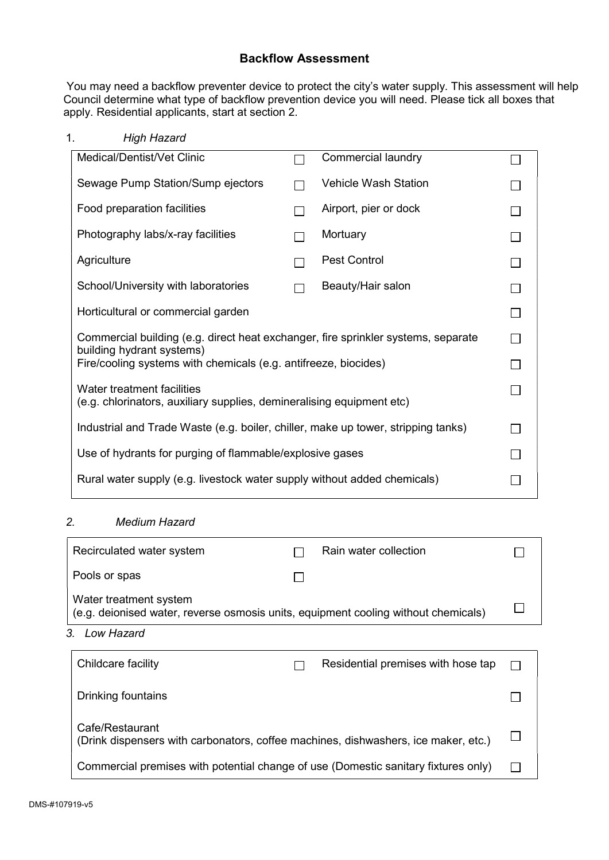### Backflow Assessment

 You may need a backflow preventer device to protect the city's water supply. This assessment will help Council determine what type of backflow prevention device you will need. Please tick all boxes that apply. Residential applicants, start at section 2.

1. High Hazard

| Medical/Dentist/Vet Clinic                                                                                     |  | Commercial laundry          |  |
|----------------------------------------------------------------------------------------------------------------|--|-----------------------------|--|
| Sewage Pump Station/Sump ejectors                                                                              |  | <b>Vehicle Wash Station</b> |  |
| Food preparation facilities                                                                                    |  | Airport, pier or dock       |  |
| Photography labs/x-ray facilities                                                                              |  | Mortuary                    |  |
| Agriculture                                                                                                    |  | <b>Pest Control</b>         |  |
| School/University with laboratories                                                                            |  | Beauty/Hair salon           |  |
| Horticultural or commercial garden                                                                             |  |                             |  |
| Commercial building (e.g. direct heat exchanger, fire sprinkler systems, separate<br>building hydrant systems) |  |                             |  |
| Fire/cooling systems with chemicals (e.g. antifreeze, biocides)                                                |  |                             |  |
| Water treatment facilities<br>(e.g. chlorinators, auxiliary supplies, demineralising equipment etc)            |  |                             |  |
| Industrial and Trade Waste (e.g. boiler, chiller, make up tower, stripping tanks)                              |  |                             |  |
| Use of hydrants for purging of flammable/explosive gases                                                       |  |                             |  |
| Rural water supply (e.g. livestock water supply without added chemicals)                                       |  |                             |  |

## 2. Medium Hazard

| Recirculated water system                                                                                    |  | Rain water collection |  |
|--------------------------------------------------------------------------------------------------------------|--|-----------------------|--|
| Pools or spas                                                                                                |  |                       |  |
| Water treatment system<br>(e.g. deionised water, reverse osmosis units, equipment cooling without chemicals) |  |                       |  |

3. Low Hazard

| Childcare facility                                                                                    |  | Residential premises with hose tap |  |
|-------------------------------------------------------------------------------------------------------|--|------------------------------------|--|
| Drinking fountains                                                                                    |  |                                    |  |
| Cafe/Restaurant<br>(Drink dispensers with carbonators, coffee machines, dishwashers, ice maker, etc.) |  |                                    |  |
| Commercial premises with potential change of use (Domestic sanitary fixtures only)                    |  |                                    |  |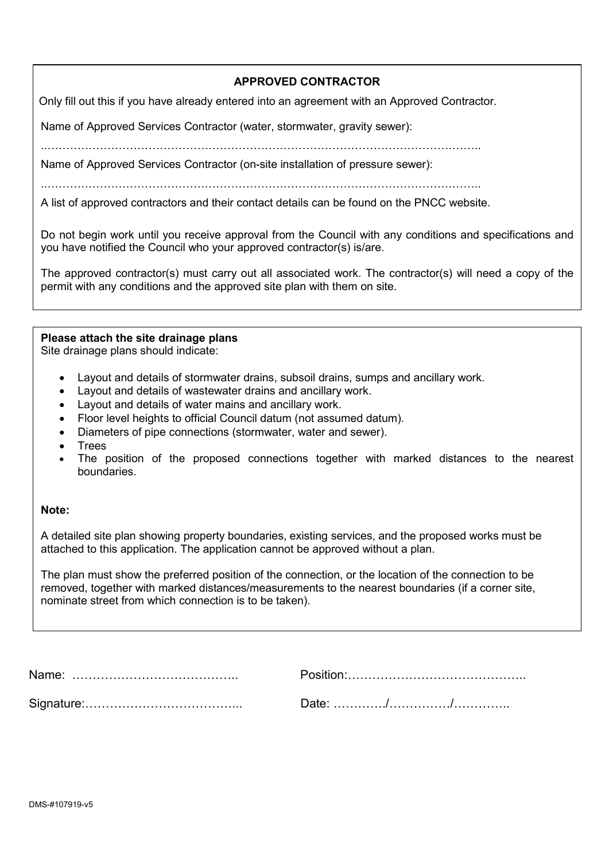### APPROVED CONTRACTOR

Only fill out this if you have already entered into an agreement with an Approved Contractor.

Name of Approved Services Contractor (water, stormwater, gravity sewer):

..……………………………………………………………………………………………………..

Name of Approved Services Contractor (on-site installation of pressure sewer):

..……………………………………………………………………………………………………..

A list of approved contractors and their contact details can be found on the PNCC website.

Do not begin work until you receive approval from the Council with any conditions and specifications and you have notified the Council who your approved contractor(s) is/are.

The approved contractor(s) must carry out all associated work. The contractor(s) will need a copy of the permit with any conditions and the approved site plan with them on site.

#### Please attach the site drainage plans

Site drainage plans should indicate:

- Layout and details of stormwater drains, subsoil drains, sumps and ancillary work.
- Layout and details of wastewater drains and ancillary work.
- Layout and details of water mains and ancillary work.
- Floor level heights to official Council datum (not assumed datum).
- Diameters of pipe connections (stormwater, water and sewer).
- **Trees**
- The position of the proposed connections together with marked distances to the nearest boundaries.

#### Note:

A detailed site plan showing property boundaries, existing services, and the proposed works must be attached to this application. The application cannot be approved without a plan.

The plan must show the preferred position of the connection, or the location of the connection to be removed, together with marked distances/measurements to the nearest boundaries (if a corner site, nominate street from which connection is to be taken).

Name: ………………………………….. Position:…………………………………….. Signature:………………………………... Date: …………./……………/…………..